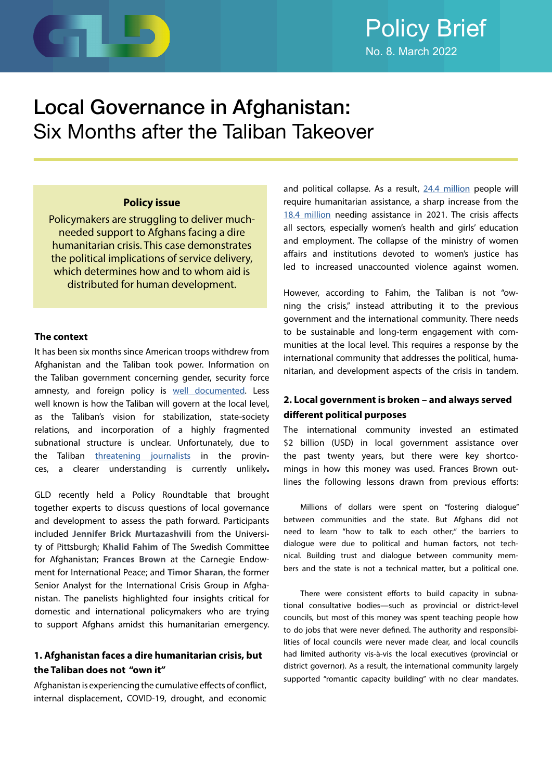

# Policy Brief No. 8. March 2022

# Local Governance in Afghanistan: Six Months after the Taliban Takeover

#### **Policy issue**

Policymakers are struggling to deliver muchneeded support to Afghans facing a dire humanitarian crisis. This case demonstrates the political implications of service delivery, which determines how and to whom aid is distributed for human development.

#### **The context**

It has been six months since American troops withdrew from Afghanistan and the Taliban took power. Information on the Taliban government concerning gender, security force amnesty, and foreign policy is [well documented](https://www.bbc.com/news/world-asia-58550640). Less well known is how the Taliban will govern at the local level, as the Taliban's vision for stabilization, state-society relations, and incorporation of a highly fragmented subnational structure is unclear. Unfortunately, due to the Taliban [threatening journalists](https://www.hrw.org/news/2022/03/07/afghanistan-taliban-threatening-provincial-media) in the provinces, a clearer understanding is currently unlikely**.** 

GLD recently held a Policy Roundtable that brought together experts to discuss questions of local governance and development to assess the path forward. Participants included **Jennifer Brick Murtazashvili** from the University of Pittsburgh; **Khalid Fahim** of The Swedish Committee for Afghanistan; **Frances Brown** at the Carnegie Endowment for International Peace; and **Timor Sharan**, the former Senior Analyst for the International Crisis Group in Afghanistan. The panelists highlighted four insights critical for domestic and international policymakers who are trying to support Afghans amidst this humanitarian emergency.

### **1. Afghanistan faces a dire humanitarian crisis, but the Taliban does not "own it"**

Afghanistan is experiencing the cumulative effects of conflict, internal displacement, COVID-19, drought, and economic and political collapse. As a result, [24.4 million](https://en.unesco.org/news/244-million-people-need-humanitarian-assistance-now-afghanistan-half-are-women-girls-story) people will require humanitarian assistance, a sharp increase from the [18.4 million](https://ec.europa.eu/echo/where/asia-and-pacific/afghanistan_en) needing assistance in 2021. The crisis affects all sectors, especially women's health and girls' education and employment. The collapse of the ministry of women affairs and institutions devoted to women's justice has led to increased unaccounted violence against women.

However, according to Fahim, the Taliban is not "owning the crisis," instead attributing it to the previous government and the international community. There needs to be sustainable and long-term engagement with communities at the local level. This requires a response by the international community that addresses the political, humanitarian, and development aspects of the crisis in tandem.

### **2. Local government is broken – and always served different political purposes**

The international community invested an estimated \$2 billion (USD) in local government assistance over the past twenty years, but there were key shortcomings in how this money was used. Frances Brown outlines the following lessons drawn from previous efforts:

Millions of dollars were spent on "fostering dialogue" between communities and the state. But Afghans did not need to learn "how to talk to each other;" the barriers to dialogue were due to political and human factors, not technical. Building trust and dialogue between community members and the state is not a technical matter, but a political one.

There were consistent efforts to build capacity in subnational consultative bodies—such as provincial or district-level councils, but most of this money was spent teaching people how to do jobs that were never defined. The authority and responsibilities of local councils were never made clear, and local councils had limited authority vis-à-vis the local executives (provincial or district governor). As a result, the international community largely supported "romantic capacity building" with no clear mandates.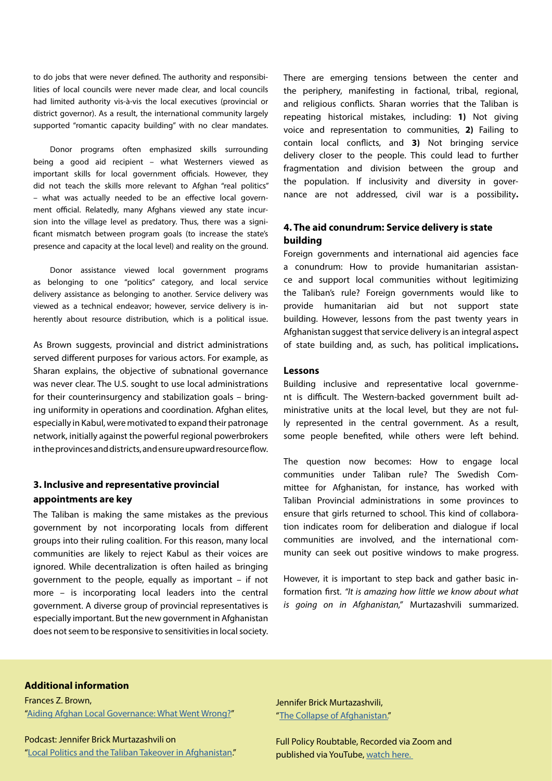to do jobs that were never defined. The authority and responsibilities of local councils were never made clear, and local councils had limited authority vis-à-vis the local executives (provincial or district governor). As a result, the international community largely supported "romantic capacity building" with no clear mandates.

Donor programs often emphasized skills surrounding being a good aid recipient – what Westerners viewed as important skills for local government officials. However, they did not teach the skills more relevant to Afghan "real politics" – what was actually needed to be an effective local government official. Relatedly, many Afghans viewed any state incursion into the village level as predatory. Thus, there was a significant mismatch between program goals (to increase the state's presence and capacity at the local level) and reality on the ground.

Donor assistance viewed local government programs as belonging to one "politics" category, and local service delivery assistance as belonging to another. Service delivery was viewed as a technical endeavor; however, service delivery is inherently about resource distribution, which is a political issue.

As Brown suggests, provincial and district administrations served different purposes for various actors. For example, as Sharan explains, the objective of subnational governance was never clear. The U.S. sought to use local administrations for their counterinsurgency and stabilization goals – bringing uniformity in operations and coordination. Afghan elites, especially in Kabul, were motivated to expand their patronage network, initially against the powerful regional powerbrokers in the provinces and districts, and ensure upward resource flow.

### **3. Inclusive and representative provincial appointments are key**

The Taliban is making the same mistakes as the previous government by not incorporating locals from different groups into their ruling coalition. For this reason, many local communities are likely to reject Kabul as their voices are ignored. While decentralization is often hailed as bringing government to the people, equally as important – if not more – is incorporating local leaders into the central government. A diverse group of provincial representatives is especially important. But the new government in Afghanistan does not seem to be responsive to sensitivities in local society.

There are emerging tensions between the center and the periphery, manifesting in factional, tribal, regional, and religious conflicts. Sharan worries that the Taliban is repeating historical mistakes, including: **1)** Not giving voice and representation to communities, **2)** Failing to contain local conflicts, and **3)** Not bringing service delivery closer to the people. This could lead to further fragmentation and division between the group and the population. If inclusivity and diversity in governance are not addressed, civil war is a possibility**.** 

#### **4. The aid conundrum: Service delivery is state building**

Foreign governments and international aid agencies face a conundrum: How to provide humanitarian assistance and support local communities without legitimizing the Taliban's rule? Foreign governments would like to provide humanitarian aid but not support state building. However, lessons from the past twenty years in Afghanistan suggest that service delivery is an integral aspect of state building and, as such, has political implications**.** 

#### **Lessons**

Building inclusive and representative local government is difficult. The Western-backed government built administrative units at the local level, but they are not fully represented in the central government. As a result, some people benefited, while others were left behind.

The question now becomes: How to engage local communities under Taliban rule? The Swedish Committee for Afghanistan, for instance, has worked with Taliban Provincial administrations in some provinces to ensure that girls returned to school. This kind of collaboration indicates room for deliberation and dialogue if local communities are involved, and the international community can seek out positive windows to make progress.

However, it is important to step back and gather basic information first. *"It is amazing how little we know about what is going on in Afghanistan,"* Murtazashvili summarized.

#### **Additional information**

Frances Z. Brown, ["Aiding Afghan Local Governance: What Went Wrong?](https://carnegieendowment.org/2021/11/08/aiding-afghan-local-governance-what-went-wrong-pub-85719)"

Podcast: Jennifer Brick Murtazashvili on ["Local Politics and the Taliban Takeover in Afghanistan](https://soundcloud.com/gldresearch/jennifer-murtazashvili-local-politics-and-taliban-takeover-in-afghanistan?utm_source=clipboard&utm_medium=text&utm_campaign=social_sharing)." Jennifer Brick Murtazashvili, "[The Collapse of Afghanistan.](https://www.journalofdemocracy.org/articles/the-collapse-of-afghanistan/)"

Full Policy Roubtable, Recorded via Zoom and published via YouTube, [watch here.](https://youtu.be/LmUErMBy_X8)